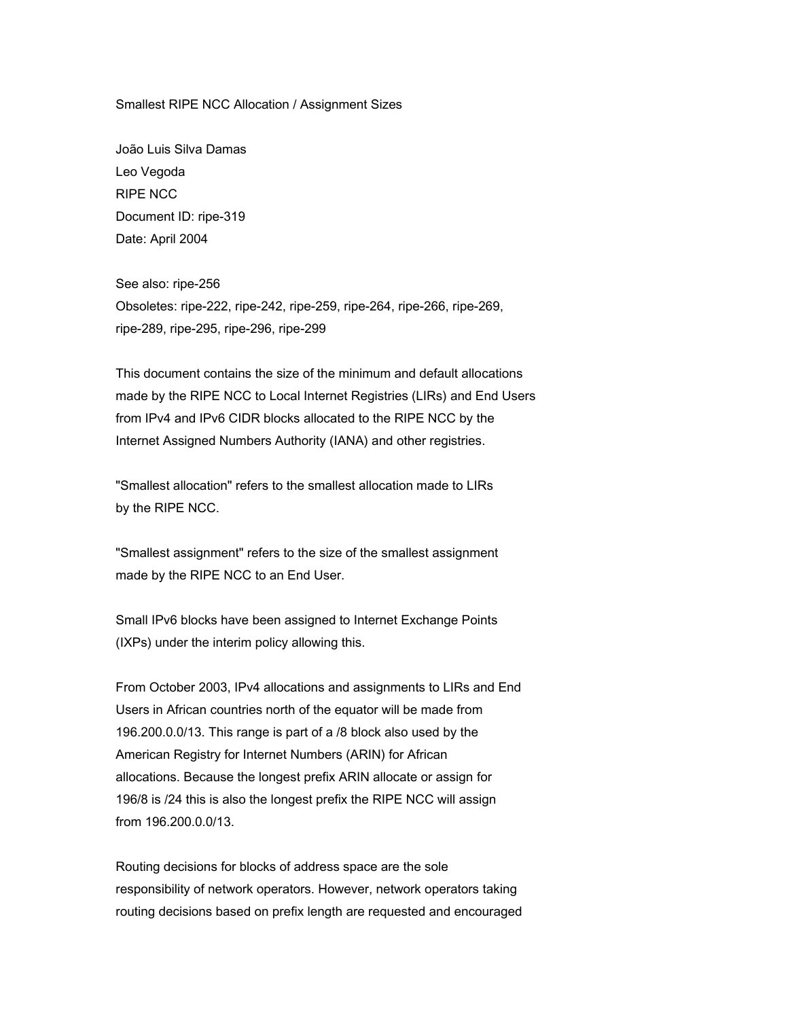Smallest RIPE NCC Allocation / Assignment Sizes

João Luis Silva Damas Leo Vegoda RIPE NCC Document ID: ripe-319 Date: April 2004

See also: ripe-256 Obsoletes: ripe-222, ripe-242, ripe-259, ripe-264, ripe-266, ripe-269, ripe-289, ripe-295, ripe-296, ripe-299

This document contains the size of the minimum and default allocations made by the RIPE NCC to Local Internet Registries (LIRs) and End Users from IPv4 and IPv6 CIDR blocks allocated to the RIPE NCC by the Internet Assigned Numbers Authority (IANA) and other registries.

"Smallest allocation" refers to the smallest allocation made to LIRs by the RIPE NCC.

"Smallest assignment" refers to the size of the smallest assignment made by the RIPE NCC to an End User.

Small IPv6 blocks have been assigned to Internet Exchange Points (IXPs) under the interim policy allowing this.

From October 2003, IPv4 allocations and assignments to LIRs and End Users in African countries north of the equator will be made from 196.200.0.0/13. This range is part of a /8 block also used by the American Registry for Internet Numbers (ARIN) for African allocations. Because the longest prefix ARIN allocate or assign for 196/8 is /24 this is also the longest prefix the RIPE NCC will assign from 196.200.0.0/13.

Routing decisions for blocks of address space are the sole responsibility of network operators. However, network operators taking routing decisions based on prefix length are requested and encouraged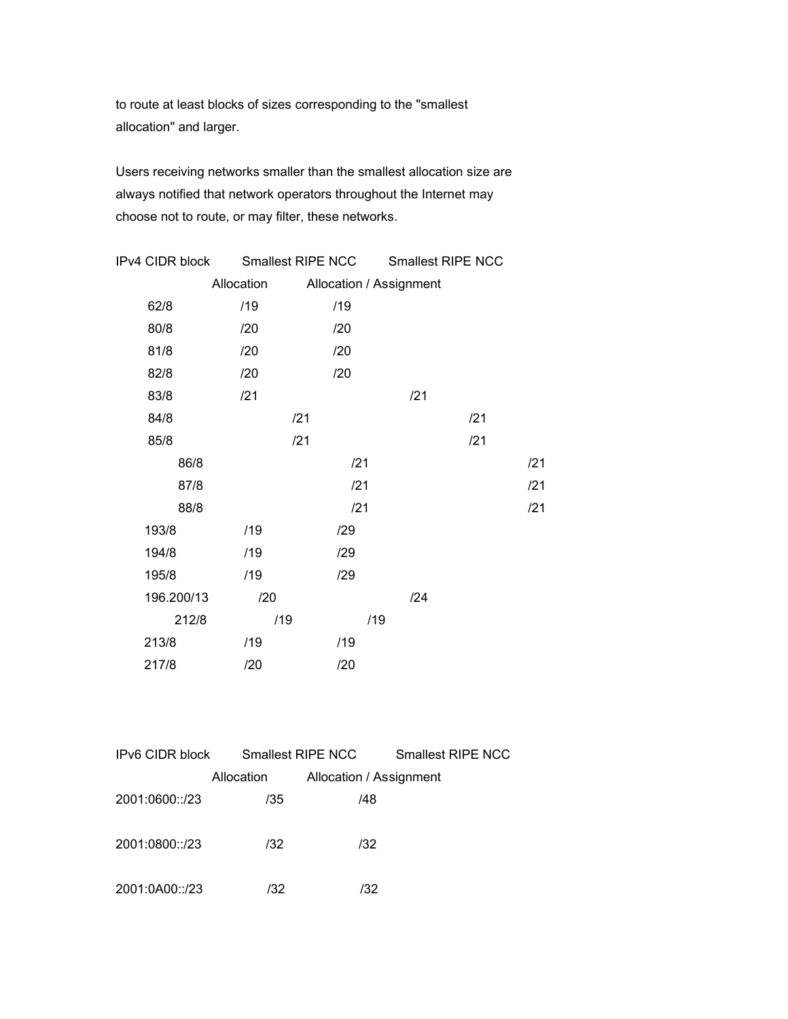to route at least blocks of sizes corresponding to the "smallest allocation" and larger.

Users receiving networks smaller than the smallest allocation size are always notified that network operators throughout the Internet may choose not to route, or may filter, these networks.

| IPv4 CIDR block |            | Smallest RIPE NCC | <b>Smallest RIPE NCC</b> |     |     |
|-----------------|------------|-------------------|--------------------------|-----|-----|
|                 | Allocation |                   | Allocation / Assignment  |     |     |
| 62/8            | /19        | /19               |                          |     |     |
| 80/8            | /20        | /20               |                          |     |     |
| 81/8            | /20        | /20               |                          |     |     |
| 82/8            | /20        | /20               |                          |     |     |
| 83/8            | /21        |                   | /21                      |     |     |
| 84/8            |            | /21               |                          | /21 |     |
| 85/8            |            | /21               |                          | /21 |     |
| 86/8            |            | /21               |                          |     | /21 |
| 87/8            |            | /21               |                          |     | /21 |
| 88/8            |            | /21               |                          |     | /21 |
| 193/8           | /19        | /29               |                          |     |     |
| 194/8           | /19        | /29               |                          |     |     |
| 195/8           | /19        | /29               |                          |     |     |
| 196.200/13      | /20        |                   | /24                      |     |     |
| 212/8           | /19        |                   | /19                      |     |     |
| 213/8           | /19        | /19               |                          |     |     |
| 217/8           | /20        | /20               |                          |     |     |

| IPv6 CIDR block |            | Smallest RIPE NCC       | Smallest RIPE NCC |
|-----------------|------------|-------------------------|-------------------|
|                 | Allocation | Allocation / Assignment |                   |
| 2001:0600::/23  | /35        | /48                     |                   |
|                 |            |                         |                   |
| 2001:0800::/23  | /32        | /32                     |                   |
|                 |            |                         |                   |
| 2001:0A00::/23  | /32        | /32                     |                   |